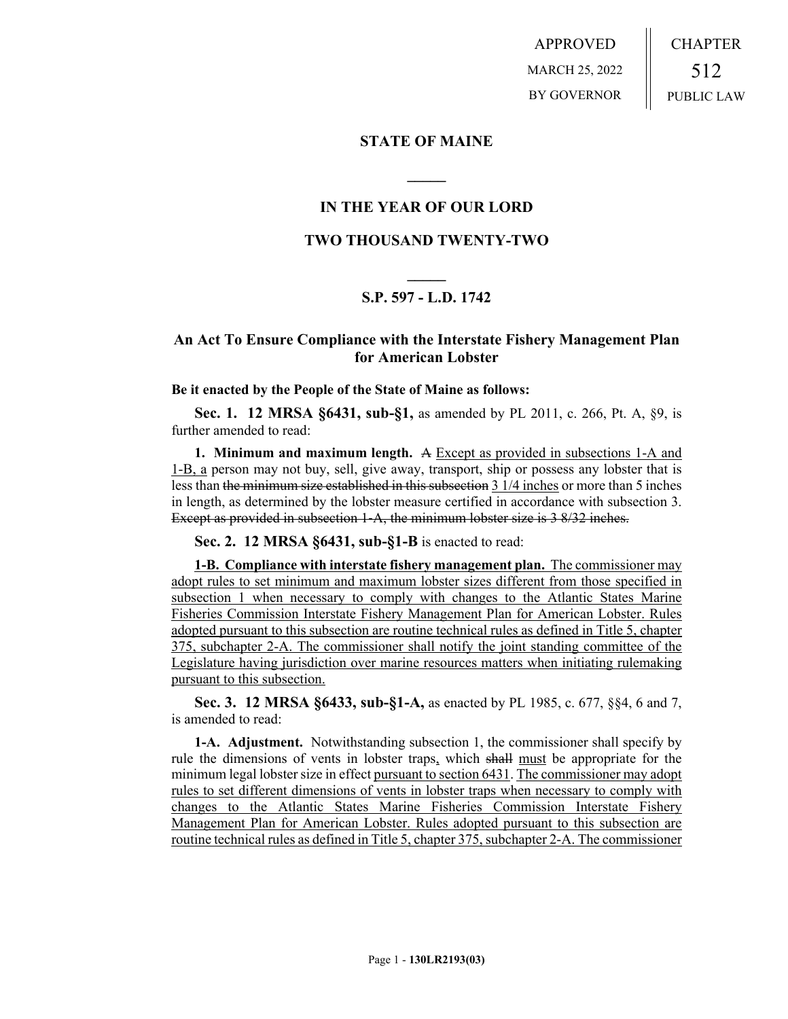APPROVED MARCH 25, 2022 BY GOVERNOR CHAPTER 512 PUBLIC LAW

### **STATE OF MAINE**

### **IN THE YEAR OF OUR LORD**

**\_\_\_\_\_**

### **TWO THOUSAND TWENTY-TWO**

# **\_\_\_\_\_ S.P. 597 - L.D. 1742**

## **An Act To Ensure Compliance with the Interstate Fishery Management Plan for American Lobster**

#### **Be it enacted by the People of the State of Maine as follows:**

**Sec. 1. 12 MRSA §6431, sub-§1,** as amended by PL 2011, c. 266, Pt. A, §9, is further amended to read:

**1. Minimum and maximum length.** A Except as provided in subsections 1-A and 1-B, a person may not buy, sell, give away, transport, ship or possess any lobster that is less than the minimum size established in this subsection 3 1/4 inches or more than 5 inches in length, as determined by the lobster measure certified in accordance with subsection 3. Except as provided in subsection 1-A, the minimum lobster size is 3 8/32 inches.

**Sec. 2. 12 MRSA §6431, sub-§1-B** is enacted to read:

**1-B. Compliance with interstate fishery management plan.** The commissioner may adopt rules to set minimum and maximum lobster sizes different from those specified in subsection 1 when necessary to comply with changes to the Atlantic States Marine Fisheries Commission Interstate Fishery Management Plan for American Lobster. Rules adopted pursuant to this subsection are routine technical rules as defined in Title 5, chapter 375, subchapter 2-A. The commissioner shall notify the joint standing committee of the Legislature having jurisdiction over marine resources matters when initiating rulemaking pursuant to this subsection.

**Sec. 3. 12 MRSA §6433, sub-§1-A,** as enacted by PL 1985, c. 677, §§4, 6 and 7, is amended to read:

**1-A. Adjustment.** Notwithstanding subsection 1, the commissioner shall specify by rule the dimensions of vents in lobster traps, which shall must be appropriate for the minimum legal lobster size in effect pursuant to section 6431. The commissioner may adopt rules to set different dimensions of vents in lobster traps when necessary to comply with changes to the Atlantic States Marine Fisheries Commission Interstate Fishery Management Plan for American Lobster. Rules adopted pursuant to this subsection are routine technical rules as defined in Title 5, chapter 375, subchapter 2-A. The commissioner